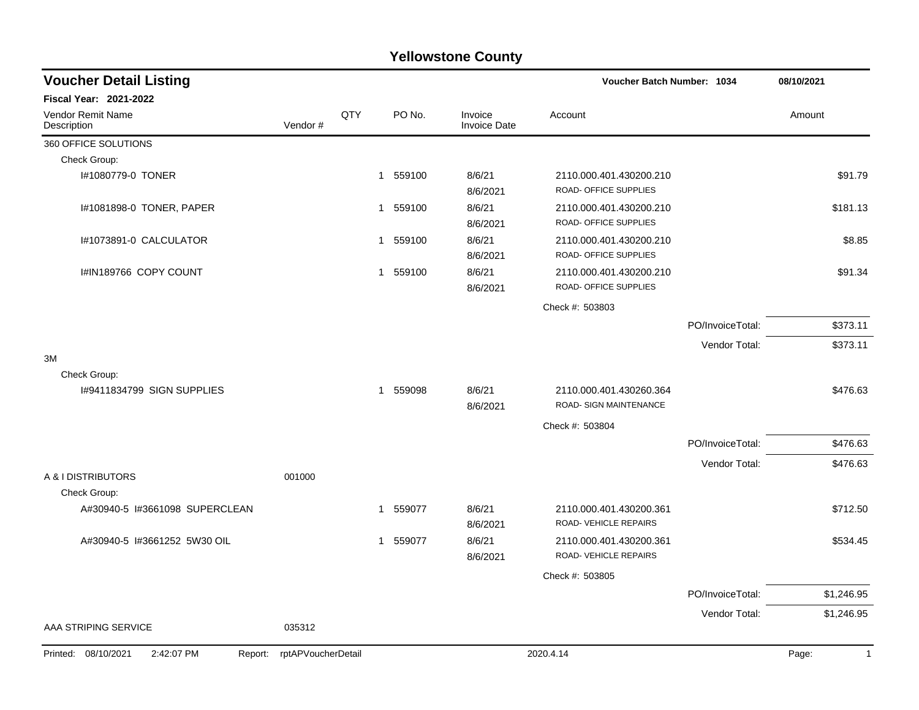| <b>Voucher Detail Listing</b>                |                    |              |        |                                | Voucher Batch Number: 1034                               |                  | 08/10/2021            |
|----------------------------------------------|--------------------|--------------|--------|--------------------------------|----------------------------------------------------------|------------------|-----------------------|
| <b>Fiscal Year: 2021-2022</b>                |                    |              |        |                                |                                                          |                  |                       |
| Vendor Remit Name<br>Description             | Vendor#            | QTY          | PO No. | Invoice<br><b>Invoice Date</b> | Account                                                  |                  | Amount                |
| 360 OFFICE SOLUTIONS                         |                    |              |        |                                |                                                          |                  |                       |
| Check Group:                                 |                    |              |        |                                |                                                          |                  |                       |
| I#1080779-0 TONER                            |                    | 1            | 559100 | 8/6/21<br>8/6/2021             | 2110.000.401.430200.210<br>ROAD- OFFICE SUPPLIES         |                  | \$91.79               |
| I#1081898-0 TONER, PAPER                     |                    | 1            | 559100 | 8/6/21<br>8/6/2021             | 2110.000.401.430200.210<br>ROAD- OFFICE SUPPLIES         |                  | \$181.13              |
| I#1073891-0 CALCULATOR                       |                    | 1            | 559100 | 8/6/21<br>8/6/2021             | 2110.000.401.430200.210<br>ROAD- OFFICE SUPPLIES         |                  | \$8.85                |
| I#IN189766 COPY COUNT                        |                    | $\mathbf{1}$ | 559100 | 8/6/21<br>8/6/2021             | 2110.000.401.430200.210<br>ROAD- OFFICE SUPPLIES         |                  | \$91.34               |
|                                              |                    |              |        |                                | Check #: 503803                                          |                  |                       |
|                                              |                    |              |        |                                |                                                          | PO/InvoiceTotal: | \$373.11              |
|                                              |                    |              |        |                                |                                                          | Vendor Total:    | \$373.11              |
| 3M                                           |                    |              |        |                                |                                                          |                  |                       |
| Check Group:                                 |                    |              |        |                                |                                                          |                  |                       |
| 1#9411834799 SIGN SUPPLIES                   |                    | 1            | 559098 | 8/6/21<br>8/6/2021             | 2110.000.401.430260.364<br><b>ROAD- SIGN MAINTENANCE</b> |                  | \$476.63              |
|                                              |                    |              |        |                                | Check #: 503804                                          |                  |                       |
|                                              |                    |              |        |                                |                                                          | PO/InvoiceTotal: | \$476.63              |
|                                              |                    |              |        |                                |                                                          | Vendor Total:    | \$476.63              |
| A & I DISTRIBUTORS<br>Check Group:           | 001000             |              |        |                                |                                                          |                  |                       |
| A#30940-5 I#3661098 SUPERCLEAN               |                    | 1            | 559077 | 8/6/21<br>8/6/2021             | 2110.000.401.430200.361<br>ROAD- VEHICLE REPAIRS         |                  | \$712.50              |
| A#30940-5 1#3661252 5W30 OIL                 |                    | 1            | 559077 | 8/6/21<br>8/6/2021             | 2110.000.401.430200.361<br>ROAD- VEHICLE REPAIRS         |                  | \$534.45              |
|                                              |                    |              |        |                                | Check #: 503805                                          |                  |                       |
|                                              |                    |              |        |                                |                                                          | PO/InvoiceTotal: | \$1,246.95            |
|                                              |                    |              |        |                                |                                                          | Vendor Total:    | \$1,246.95            |
| AAA STRIPING SERVICE                         | 035312             |              |        |                                |                                                          |                  |                       |
| Printed: 08/10/2021<br>2:42:07 PM<br>Report: | rptAPVoucherDetail |              |        |                                | 2020.4.14                                                |                  | Page:<br>$\mathbf{1}$ |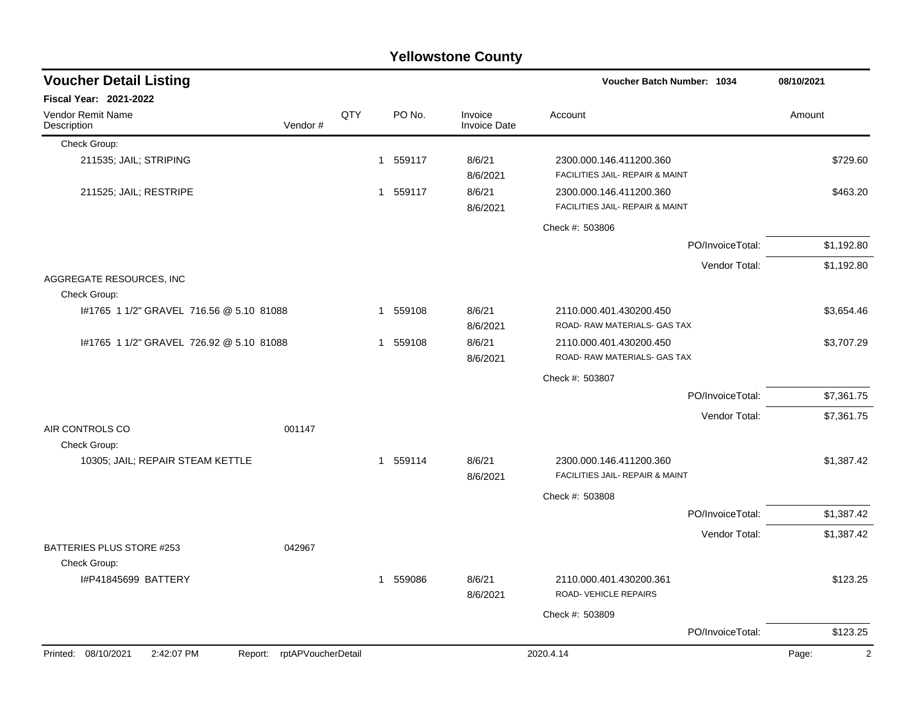|                                          |                            |     |          | <b>Yellowstone County</b>      |                                                            |                  |                         |
|------------------------------------------|----------------------------|-----|----------|--------------------------------|------------------------------------------------------------|------------------|-------------------------|
| <b>Voucher Detail Listing</b>            |                            |     |          |                                | Voucher Batch Number: 1034                                 |                  | 08/10/2021              |
| <b>Fiscal Year: 2021-2022</b>            |                            |     |          |                                |                                                            |                  |                         |
| Vendor Remit Name<br>Description         | Vendor#                    | QTY | PO No.   | Invoice<br><b>Invoice Date</b> | Account                                                    |                  | Amount                  |
| Check Group:                             |                            |     |          |                                |                                                            |                  |                         |
| 211535; JAIL; STRIPING                   |                            |     | 1 559117 | 8/6/21<br>8/6/2021             | 2300.000.146.411200.360<br>FACILITIES JAIL- REPAIR & MAINT |                  | \$729.60                |
| 211525; JAIL; RESTRIPE                   |                            |     | 1 559117 | 8/6/21<br>8/6/2021             | 2300.000.146.411200.360<br>FACILITIES JAIL- REPAIR & MAINT |                  | \$463.20                |
|                                          |                            |     |          |                                | Check #: 503806                                            |                  |                         |
|                                          |                            |     |          |                                |                                                            | PO/InvoiceTotal: | \$1,192.80              |
|                                          |                            |     |          |                                |                                                            | Vendor Total:    | \$1,192.80              |
| AGGREGATE RESOURCES, INC<br>Check Group: |                            |     |          |                                |                                                            |                  |                         |
| #1765 1 1/2" GRAVEL 716.56 @ 5.10 81088  |                            |     | 1 559108 | 8/6/21<br>8/6/2021             | 2110.000.401.430200.450<br>ROAD-RAW MATERIALS- GAS TAX     |                  | \$3,654.46              |
| I#1765 1 1/2" GRAVEL 726.92 @ 5.10 81088 |                            |     | 1 559108 | 8/6/21<br>8/6/2021             | 2110.000.401.430200.450<br>ROAD- RAW MATERIALS- GAS TAX    |                  | \$3,707.29              |
|                                          |                            |     |          |                                | Check #: 503807                                            |                  |                         |
|                                          |                            |     |          |                                |                                                            | PO/InvoiceTotal: | \$7,361.75              |
|                                          |                            |     |          |                                |                                                            | Vendor Total:    | \$7,361.75              |
| AIR CONTROLS CO<br>Check Group:          | 001147                     |     |          |                                |                                                            |                  |                         |
| 10305; JAIL; REPAIR STEAM KETTLE         |                            |     | 1 559114 | 8/6/21<br>8/6/2021             | 2300.000.146.411200.360<br>FACILITIES JAIL- REPAIR & MAINT |                  | \$1,387.42              |
|                                          |                            |     |          |                                | Check #: 503808                                            |                  |                         |
|                                          |                            |     |          |                                |                                                            | PO/InvoiceTotal: | \$1,387.42              |
|                                          |                            |     |          |                                |                                                            | Vendor Total:    | \$1,387.42              |
| <b>BATTERIES PLUS STORE #253</b>         | 042967                     |     |          |                                |                                                            |                  |                         |
| Check Group:<br>I#P41845699 BATTERY      |                            |     | 1 559086 | 8/6/21<br>8/6/2021             | 2110.000.401.430200.361<br>ROAD-VEHICLE REPAIRS            |                  | \$123.25                |
|                                          |                            |     |          |                                | Check #: 503809                                            |                  |                         |
|                                          |                            |     |          |                                |                                                            | PO/InvoiceTotal: | \$123.25                |
| Printed: 08/10/2021<br>2:42:07 PM        | Report: rptAPVoucherDetail |     |          |                                | 2020.4.14                                                  |                  | Page:<br>$\overline{c}$ |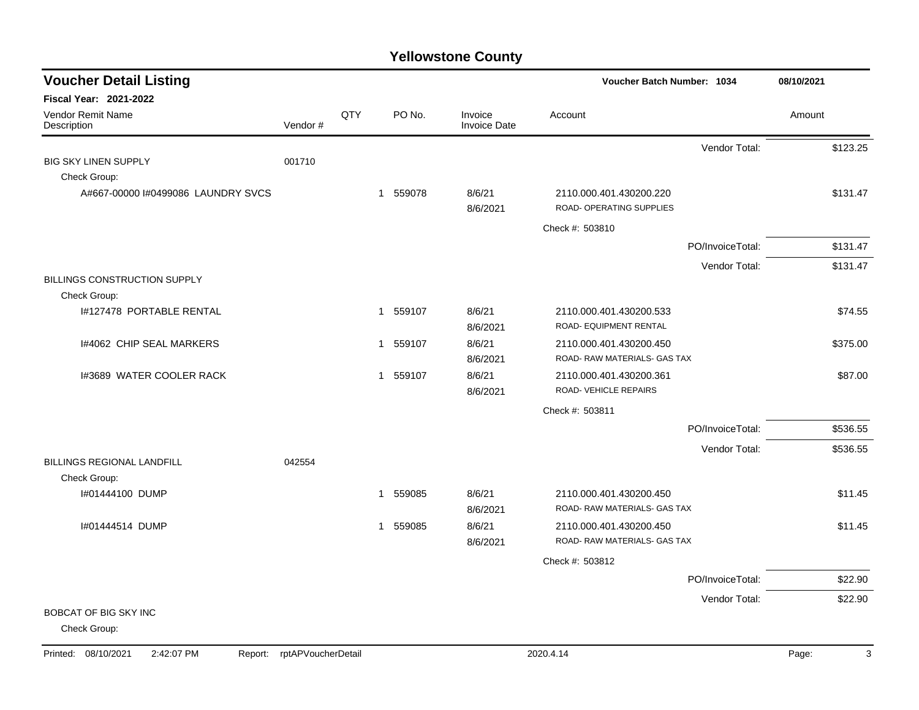| <b>Voucher Detail Listing</b>       | Voucher Batch Number: 1034 |     | 08/10/2021 |        |                                |                                                       |                  |          |
|-------------------------------------|----------------------------|-----|------------|--------|--------------------------------|-------------------------------------------------------|------------------|----------|
| <b>Fiscal Year: 2021-2022</b>       |                            |     |            |        |                                |                                                       |                  |          |
| Vendor Remit Name<br>Description    | Vendor#                    | QTY |            | PO No. | Invoice<br><b>Invoice Date</b> | Account                                               |                  | Amount   |
|                                     |                            |     |            |        |                                |                                                       | Vendor Total:    | \$123.25 |
| <b>BIG SKY LINEN SUPPLY</b>         | 001710                     |     |            |        |                                |                                                       |                  |          |
| Check Group:                        |                            |     |            |        |                                |                                                       |                  |          |
| A#667-00000 #0499086 LAUNDRY SVCS   |                            |     | 1 559078   |        | 8/6/21                         | 2110.000.401.430200.220<br>ROAD- OPERATING SUPPLIES   |                  | \$131.47 |
|                                     |                            |     |            |        | 8/6/2021                       |                                                       |                  |          |
|                                     |                            |     |            |        |                                | Check #: 503810                                       |                  |          |
|                                     |                            |     |            |        |                                |                                                       | PO/InvoiceTotal: | \$131.47 |
|                                     |                            |     |            |        |                                |                                                       | Vendor Total:    | \$131.47 |
| <b>BILLINGS CONSTRUCTION SUPPLY</b> |                            |     |            |        |                                |                                                       |                  |          |
| Check Group:                        |                            |     |            |        |                                |                                                       |                  |          |
| 1#127478 PORTABLE RENTAL            |                            |     | 1 559107   |        | 8/6/21<br>8/6/2021             | 2110.000.401.430200.533<br>ROAD- EQUIPMENT RENTAL     |                  | \$74.55  |
| 1#4062 CHIP SEAL MARKERS            |                            |     | 1 559107   |        | 8/6/21                         | 2110.000.401.430200.450                               |                  | \$375.00 |
|                                     |                            |     |            |        | 8/6/2021                       | ROAD- RAW MATERIALS- GAS TAX                          |                  |          |
| I#3689 WATER COOLER RACK            |                            |     | 1 559107   |        | 8/6/21                         | 2110.000.401.430200.361                               |                  | \$87.00  |
|                                     |                            |     |            |        | 8/6/2021                       | ROAD- VEHICLE REPAIRS                                 |                  |          |
|                                     |                            |     |            |        |                                | Check #: 503811                                       |                  |          |
|                                     |                            |     |            |        |                                |                                                       | PO/InvoiceTotal: | \$536.55 |
|                                     |                            |     |            |        |                                |                                                       | Vendor Total:    | \$536.55 |
| <b>BILLINGS REGIONAL LANDFILL</b>   | 042554                     |     |            |        |                                |                                                       |                  |          |
| Check Group:                        |                            |     |            |        |                                |                                                       |                  |          |
| I#01444100 DUMP                     |                            |     | 1          | 559085 | 8/6/21                         | 2110.000.401.430200.450                               |                  | \$11.45  |
|                                     |                            |     |            |        | 8/6/2021                       | ROAD-RAW MATERIALS-GAS TAX                            |                  |          |
| I#01444514 DUMP                     |                            |     | 1 559085   |        | 8/6/21                         | 2110.000.401.430200.450<br>ROAD-RAW MATERIALS-GAS TAX |                  | \$11.45  |
|                                     |                            |     |            |        | 8/6/2021                       |                                                       |                  |          |
|                                     |                            |     |            |        |                                | Check #: 503812                                       |                  |          |
|                                     |                            |     |            |        |                                |                                                       | PO/InvoiceTotal: | \$22.90  |
|                                     |                            |     |            |        |                                |                                                       | Vendor Total:    | \$22.90  |
| BOBCAT OF BIG SKY INC               |                            |     |            |        |                                |                                                       |                  |          |
| Check Group:                        |                            |     |            |        |                                |                                                       |                  |          |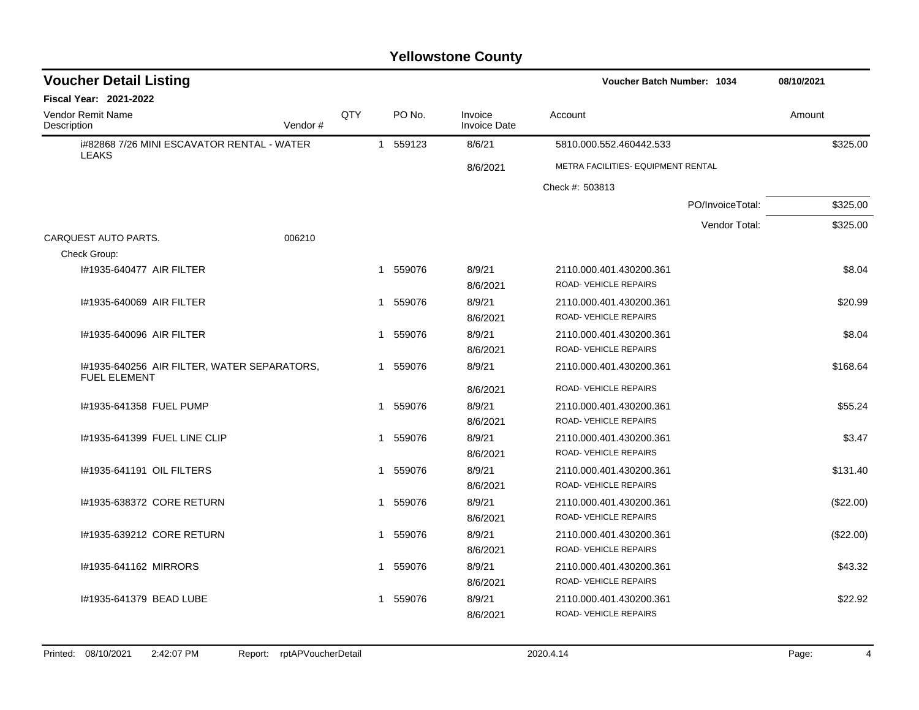| <b>Voucher Detail Listing</b>                                      |         |     | <b>Voucher Batch Number: 1034</b> |                                |                                                                         |                  | 08/10/2021 |  |
|--------------------------------------------------------------------|---------|-----|-----------------------------------|--------------------------------|-------------------------------------------------------------------------|------------------|------------|--|
| <b>Fiscal Year: 2021-2022</b>                                      |         |     |                                   |                                |                                                                         |                  |            |  |
| Vendor Remit Name<br>Description                                   | Vendor# | QTY | PO No.                            | Invoice<br><b>Invoice Date</b> | Account                                                                 |                  | Amount     |  |
| i#82868 7/26 MINI ESCAVATOR RENTAL - WATER<br><b>LEAKS</b>         |         |     | 1 559123                          | 8/6/21                         | 5810.000.552.460442.533                                                 |                  | \$325.00   |  |
|                                                                    |         |     |                                   | 8/6/2021                       | METRA FACILITIES- EQUIPMENT RENTAL                                      |                  |            |  |
|                                                                    |         |     |                                   |                                | Check #: 503813                                                         |                  |            |  |
|                                                                    |         |     |                                   |                                |                                                                         | PO/InvoiceTotal: | \$325.00   |  |
|                                                                    |         |     |                                   |                                |                                                                         | Vendor Total:    | \$325.00   |  |
| CARQUEST AUTO PARTS.<br>Check Group:                               | 006210  |     |                                   |                                |                                                                         |                  |            |  |
| 1#1935-640477 AIR FILTER                                           |         |     | 1 559076                          | 8/9/21<br>8/6/2021             | 2110.000.401.430200.361<br>ROAD- VEHICLE REPAIRS                        |                  | \$8.04     |  |
| 1#1935-640069 AIR FILTER                                           |         |     | 1 559076                          | 8/9/21<br>8/6/2021             | 2110.000.401.430200.361<br>ROAD- VEHICLE REPAIRS                        |                  | \$20.99    |  |
| #1935-640096 AIR FILTER                                            |         |     | 559076<br>1                       | 8/9/21<br>8/6/2021             | 2110.000.401.430200.361<br><b>ROAD- VEHICLE REPAIRS</b>                 |                  | \$8.04     |  |
| 1#1935-640256 AIR FILTER, WATER SEPARATORS,<br><b>FUEL ELEMENT</b> |         |     | 1 559076                          | 8/9/21                         | 2110.000.401.430200.361                                                 |                  | \$168.64   |  |
| #1935-641358 FUEL PUMP                                             |         |     | 1 559076                          | 8/6/2021<br>8/9/21<br>8/6/2021 | ROAD-VEHICLE REPAIRS<br>2110.000.401.430200.361<br>ROAD-VEHICLE REPAIRS |                  | \$55.24    |  |
| 1#1935-641399 FUEL LINE CLIP                                       |         |     | 559076<br>1                       | 8/9/21<br>8/6/2021             | 2110.000.401.430200.361<br>ROAD-VEHICLE REPAIRS                         |                  | \$3.47     |  |
| 1#1935-641191 OIL FILTERS                                          |         |     | 1 559076                          | 8/9/21<br>8/6/2021             | 2110.000.401.430200.361<br>ROAD- VEHICLE REPAIRS                        |                  | \$131.40   |  |
| I#1935-638372 CORE RETURN                                          |         |     | 1 559076                          | 8/9/21<br>8/6/2021             | 2110.000.401.430200.361<br><b>ROAD- VEHICLE REPAIRS</b>                 |                  | (\$22.00)  |  |
| 1#1935-639212 CORE RETURN                                          |         |     | 559076<br>1                       | 8/9/21<br>8/6/2021             | 2110.000.401.430200.361<br>ROAD- VEHICLE REPAIRS                        |                  | (\$22.00)  |  |
| I#1935-641162 MIRRORS                                              |         |     | 1 559076                          | 8/9/21<br>8/6/2021             | 2110.000.401.430200.361<br>ROAD- VEHICLE REPAIRS                        |                  | \$43.32    |  |
| 1#1935-641379 BEAD LUBE                                            |         |     | 559076<br>1                       | 8/9/21<br>8/6/2021             | 2110.000.401.430200.361<br>ROAD- VEHICLE REPAIRS                        |                  | \$22.92    |  |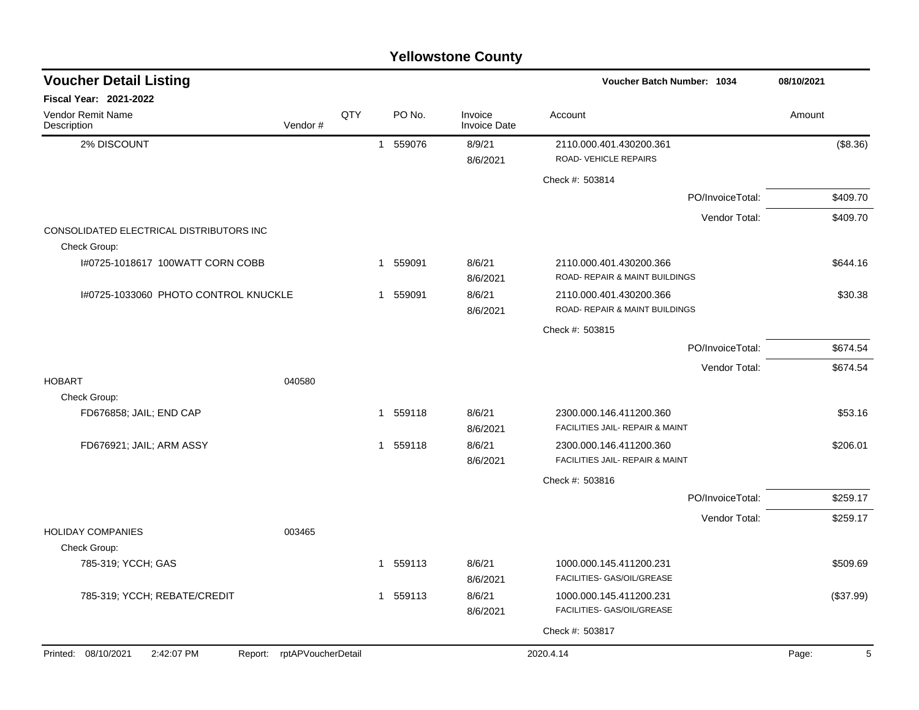|                                                          |                            |     |                |          | <b>Yellowstone County</b>      |                                                            |                  |            |
|----------------------------------------------------------|----------------------------|-----|----------------|----------|--------------------------------|------------------------------------------------------------|------------------|------------|
| <b>Voucher Detail Listing</b>                            |                            |     |                |          |                                | <b>Voucher Batch Number: 1034</b>                          |                  | 08/10/2021 |
| Fiscal Year: 2021-2022                                   |                            |     |                |          |                                |                                                            |                  |            |
| Vendor Remit Name<br>Description                         | Vendor#                    | QTY |                | PO No.   | Invoice<br><b>Invoice Date</b> | Account                                                    |                  | Amount     |
| 2% DISCOUNT                                              |                            |     | $\mathbf{1}$   | 559076   | 8/9/21<br>8/6/2021             | 2110.000.401.430200.361<br>ROAD-VEHICLE REPAIRS            |                  | (\$8.36)   |
|                                                          |                            |     |                |          |                                | Check #: 503814                                            |                  |            |
|                                                          |                            |     |                |          |                                |                                                            | PO/InvoiceTotal: | \$409.70   |
|                                                          |                            |     |                |          |                                |                                                            | Vendor Total:    | \$409.70   |
| CONSOLIDATED ELECTRICAL DISTRIBUTORS INC<br>Check Group: |                            |     |                |          |                                |                                                            |                  |            |
| I#0725-1018617 100WATT CORN COBB                         |                            |     | 1              | 559091   | 8/6/21<br>8/6/2021             | 2110.000.401.430200.366<br>ROAD- REPAIR & MAINT BUILDINGS  |                  | \$644.16   |
| 1#0725-1033060 PHOTO CONTROL KNUCKLE                     |                            |     | 1              | 559091   | 8/6/21<br>8/6/2021             | 2110.000.401.430200.366<br>ROAD- REPAIR & MAINT BUILDINGS  |                  | \$30.38    |
|                                                          |                            |     |                |          |                                | Check #: 503815                                            |                  |            |
|                                                          |                            |     |                |          |                                |                                                            | PO/InvoiceTotal: | \$674.54   |
|                                                          |                            |     |                |          |                                |                                                            | Vendor Total:    | \$674.54   |
| <b>HOBART</b>                                            | 040580                     |     |                |          |                                |                                                            |                  |            |
| Check Group:                                             |                            |     |                |          |                                |                                                            |                  |            |
| FD676858; JAIL; END CAP                                  |                            |     | $\overline{1}$ | 559118   | 8/6/21<br>8/6/2021             | 2300.000.146.411200.360<br>FACILITIES JAIL- REPAIR & MAINT |                  | \$53.16    |
| FD676921; JAIL; ARM ASSY                                 |                            |     |                | 1 559118 | 8/6/21                         | 2300.000.146.411200.360                                    |                  | \$206.01   |
|                                                          |                            |     |                |          | 8/6/2021                       | FACILITIES JAIL- REPAIR & MAINT                            |                  |            |
|                                                          |                            |     |                |          |                                | Check #: 503816                                            |                  |            |
|                                                          |                            |     |                |          |                                |                                                            | PO/InvoiceTotal: | \$259.17   |
|                                                          |                            |     |                |          |                                |                                                            | Vendor Total:    | \$259.17   |
| <b>HOLIDAY COMPANIES</b>                                 | 003465                     |     |                |          |                                |                                                            |                  |            |
| Check Group:<br>785-319; YCCH; GAS                       |                            |     |                | 1 559113 | 8/6/21                         | 1000.000.145.411200.231                                    |                  | \$509.69   |
|                                                          |                            |     |                |          | 8/6/2021                       | FACILITIES- GAS/OIL/GREASE                                 |                  |            |
| 785-319; YCCH; REBATE/CREDIT                             |                            |     |                | 1 559113 | 8/6/21                         | 1000.000.145.411200.231                                    |                  | (\$37.99)  |
|                                                          |                            |     |                |          | 8/6/2021                       | FACILITIES- GAS/OIL/GREASE                                 |                  |            |
|                                                          |                            |     |                |          |                                | Check #: 503817                                            |                  |            |
| Printed: 08/10/2021<br>2:42:07 PM                        | Report: rptAPVoucherDetail |     |                |          |                                | 2020.4.14                                                  |                  | Page:      |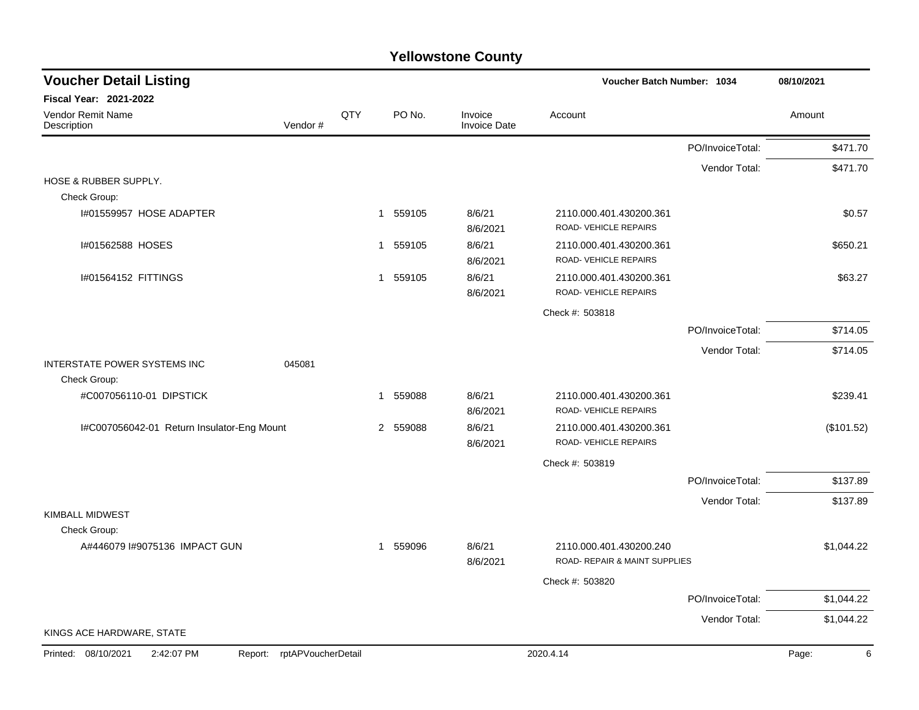| <b>Voucher Detail Listing</b>                |                    |     |          |                                |                                                          | Voucher Batch Number: 1034 |            |  |
|----------------------------------------------|--------------------|-----|----------|--------------------------------|----------------------------------------------------------|----------------------------|------------|--|
| Fiscal Year: 2021-2022                       |                    |     |          |                                |                                                          |                            |            |  |
| Vendor Remit Name<br>Description             | Vendor#            | QTY | PO No.   | Invoice<br><b>Invoice Date</b> | Account                                                  |                            | Amount     |  |
|                                              |                    |     |          |                                |                                                          | PO/InvoiceTotal:           | \$471.70   |  |
|                                              |                    |     |          |                                |                                                          | Vendor Total:              | \$471.70   |  |
| HOSE & RUBBER SUPPLY.<br>Check Group:        |                    |     |          |                                |                                                          |                            |            |  |
| I#01559957 HOSE ADAPTER                      |                    |     | 1 559105 | 8/6/21<br>8/6/2021             | 2110.000.401.430200.361<br>ROAD-VEHICLE REPAIRS          |                            | \$0.57     |  |
| I#01562588 HOSES                             |                    |     | 1 559105 | 8/6/21<br>8/6/2021             | 2110.000.401.430200.361<br>ROAD- VEHICLE REPAIRS         |                            | \$650.21   |  |
| I#01564152 FITTINGS                          |                    |     | 1 559105 | 8/6/21<br>8/6/2021             | 2110.000.401.430200.361<br>ROAD- VEHICLE REPAIRS         |                            | \$63.27    |  |
|                                              |                    |     |          |                                | Check #: 503818                                          |                            |            |  |
|                                              |                    |     |          |                                |                                                          | PO/InvoiceTotal:           | \$714.05   |  |
|                                              |                    |     |          |                                |                                                          | Vendor Total:              | \$714.05   |  |
| INTERSTATE POWER SYSTEMS INC                 | 045081             |     |          |                                |                                                          |                            |            |  |
| Check Group:                                 |                    |     |          |                                |                                                          |                            |            |  |
| #C007056110-01 DIPSTICK                      |                    |     | 1 559088 | 8/6/21<br>8/6/2021             | 2110.000.401.430200.361<br>ROAD-VEHICLE REPAIRS          |                            | \$239.41   |  |
| I#C007056042-01 Return Insulator-Eng Mount   |                    |     | 2 559088 | 8/6/21<br>8/6/2021             | 2110.000.401.430200.361<br>ROAD- VEHICLE REPAIRS         |                            | (\$101.52) |  |
|                                              |                    |     |          |                                | Check #: 503819                                          |                            |            |  |
|                                              |                    |     |          |                                |                                                          | PO/InvoiceTotal:           | \$137.89   |  |
|                                              |                    |     |          |                                |                                                          | Vendor Total:              | \$137.89   |  |
| KIMBALL MIDWEST<br>Check Group:              |                    |     |          |                                |                                                          |                            |            |  |
| A#446079 I#9075136 IMPACT GUN                |                    |     | 1 559096 | 8/6/21<br>8/6/2021             | 2110.000.401.430200.240<br>ROAD- REPAIR & MAINT SUPPLIES |                            | \$1,044.22 |  |
|                                              |                    |     |          |                                | Check #: 503820                                          |                            |            |  |
|                                              |                    |     |          |                                |                                                          | PO/InvoiceTotal:           | \$1,044.22 |  |
|                                              |                    |     |          |                                |                                                          | Vendor Total:              | \$1,044.22 |  |
| KINGS ACE HARDWARE, STATE                    |                    |     |          |                                |                                                          |                            |            |  |
| Printed: 08/10/2021<br>2:42:07 PM<br>Report: | rptAPVoucherDetail |     |          |                                | 2020.4.14                                                |                            | Page:<br>6 |  |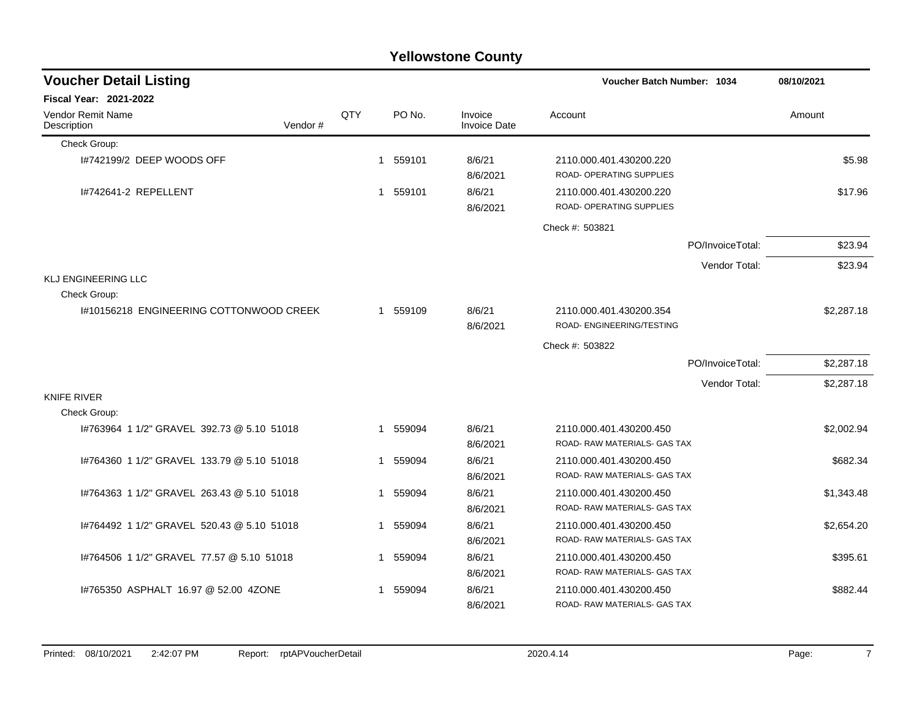|                                             |     |                |        | <b>Yellowstone County</b>      |                                                         |                  |            |
|---------------------------------------------|-----|----------------|--------|--------------------------------|---------------------------------------------------------|------------------|------------|
| <b>Voucher Detail Listing</b>               |     |                |        |                                | <b>Voucher Batch Number: 1034</b>                       |                  | 08/10/2021 |
| Fiscal Year: 2021-2022                      |     |                |        |                                |                                                         |                  |            |
| Vendor Remit Name<br>Vendor#<br>Description | QTY |                | PO No. | Invoice<br><b>Invoice Date</b> | Account                                                 |                  | Amount     |
| Check Group:                                |     |                |        |                                |                                                         |                  |            |
| 1#742199/2 DEEP WOODS OFF                   |     | $\mathbf 1$    | 559101 | 8/6/21<br>8/6/2021             | 2110.000.401.430200.220<br>ROAD- OPERATING SUPPLIES     |                  | \$5.98     |
| 1#742641-2 REPELLENT                        |     | $\overline{1}$ | 559101 | 8/6/21<br>8/6/2021             | 2110.000.401.430200.220<br>ROAD- OPERATING SUPPLIES     |                  | \$17.96    |
|                                             |     |                |        |                                | Check #: 503821                                         |                  |            |
|                                             |     |                |        |                                |                                                         | PO/InvoiceTotal: | \$23.94    |
|                                             |     |                |        |                                |                                                         | Vendor Total:    | \$23.94    |
| <b>KLJ ENGINEERING LLC</b>                  |     |                |        |                                |                                                         |                  |            |
| Check Group:                                |     |                |        |                                |                                                         |                  |            |
| I#10156218 ENGINEERING COTTONWOOD CREEK     |     | -1             | 559109 | 8/6/21<br>8/6/2021             | 2110.000.401.430200.354<br>ROAD- ENGINEERING/TESTING    |                  | \$2,287.18 |
|                                             |     |                |        |                                | Check #: 503822                                         |                  |            |
|                                             |     |                |        |                                |                                                         | PO/InvoiceTotal: | \$2,287.18 |
|                                             |     |                |        |                                |                                                         | Vendor Total:    | \$2,287.18 |
| <b>KNIFE RIVER</b>                          |     |                |        |                                |                                                         |                  |            |
| Check Group:                                |     |                |        |                                |                                                         |                  |            |
| I#763964 1 1/2" GRAVEL 392.73 @ 5.10 51018  |     | -1             | 559094 | 8/6/21<br>8/6/2021             | 2110.000.401.430200.450<br>ROAD-RAW MATERIALS- GAS TAX  |                  | \$2,002.94 |
| 1#764360 1 1/2" GRAVEL 133.79 @ 5.10 51018  |     | -1             | 559094 | 8/6/21<br>8/6/2021             | 2110.000.401.430200.450<br>ROAD- RAW MATERIALS- GAS TAX |                  | \$682.34   |
| 1#764363 1 1/2" GRAVEL 263.43 @ 5.10 51018  |     | -1             | 559094 | 8/6/21<br>8/6/2021             | 2110.000.401.430200.450<br>ROAD-RAW MATERIALS-GAS TAX   |                  | \$1,343.48 |
| #764492 1 1/2" GRAVEL 520.43 @ 5.10 51018   |     | -1             | 559094 | 8/6/21<br>8/6/2021             | 2110.000.401.430200.450<br>ROAD-RAW MATERIALS- GAS TAX  |                  | \$2,654.20 |
| 1#764506 1 1/2" GRAVEL 77.57 @ 5.10 51018   |     | 1              | 559094 | 8/6/21<br>8/6/2021             | 2110.000.401.430200.450<br>ROAD-RAW MATERIALS- GAS TAX  |                  | \$395.61   |
| 1#765350 ASPHALT 16.97 @ 52.00 4ZONE        |     | 1              | 559094 | 8/6/21<br>8/6/2021             | 2110.000.401.430200.450<br>ROAD- RAW MATERIALS- GAS TAX |                  | \$882.44   |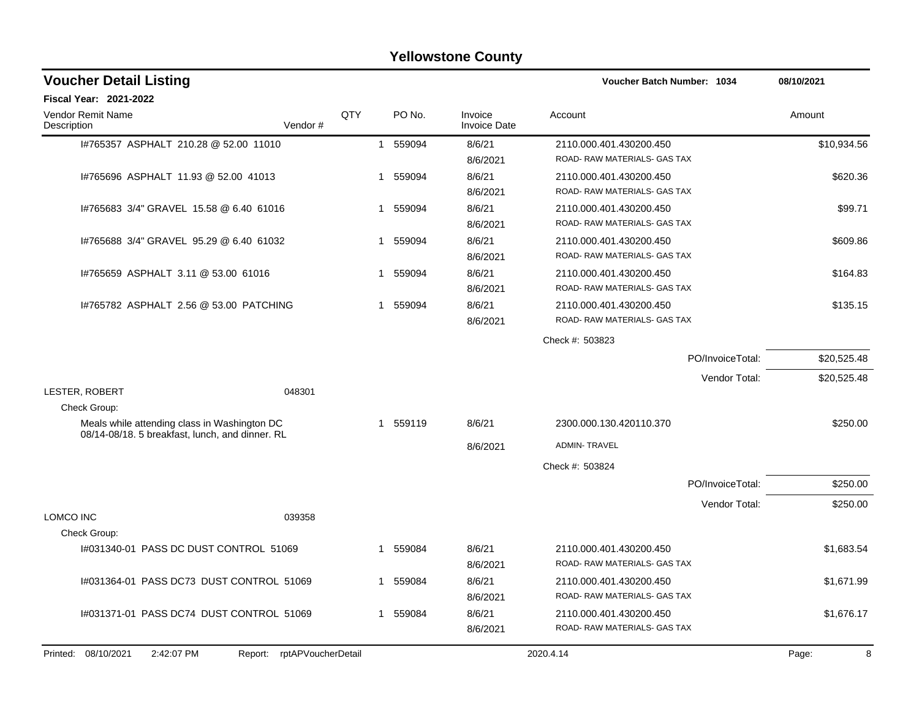|                                                                                                 |                            |     |             | <b>Yellowstone County</b>      |                                                        |             |
|-------------------------------------------------------------------------------------------------|----------------------------|-----|-------------|--------------------------------|--------------------------------------------------------|-------------|
| <b>Voucher Detail Listing</b>                                                                   |                            |     |             |                                | Voucher Batch Number: 1034                             | 08/10/2021  |
| <b>Fiscal Year: 2021-2022</b>                                                                   |                            |     |             |                                |                                                        |             |
| <b>Vendor Remit Name</b><br>Description                                                         | Vendor#                    | QTY | PO No.      | Invoice<br><b>Invoice Date</b> | Account                                                | Amount      |
| I#765357 ASPHALT 210.28 @ 52.00 11010                                                           |                            |     | 559094<br>1 | 8/6/21                         | 2110.000.401.430200.450                                | \$10,934.56 |
|                                                                                                 |                            |     |             | 8/6/2021                       | ROAD-RAW MATERIALS- GAS TAX                            |             |
| I#765696 ASPHALT 11.93 @ 52.00 41013                                                            |                            | 1   | 559094      | 8/6/21                         | 2110.000.401.430200.450                                | \$620.36    |
|                                                                                                 |                            |     |             | 8/6/2021                       | ROAD-RAW MATERIALS- GAS TAX                            |             |
| 1#765683 3/4" GRAVEL 15.58 @ 6.40 61016                                                         |                            | 1   | 559094      | 8/6/21                         | 2110.000.401.430200.450                                | \$99.71     |
|                                                                                                 |                            |     |             | 8/6/2021                       | ROAD-RAW MATERIALS- GAS TAX                            |             |
| 1#765688 3/4" GRAVEL 95.29 @ 6.40 61032                                                         |                            | 1   | 559094      | 8/6/21                         | 2110.000.401.430200.450                                | \$609.86    |
|                                                                                                 |                            |     |             | 8/6/2021                       | ROAD-RAW MATERIALS- GAS TAX                            |             |
| 1#765659 ASPHALT 3.11 @ 53.00 61016                                                             |                            | 1   | 559094      | 8/6/21                         | 2110.000.401.430200.450                                | \$164.83    |
|                                                                                                 |                            |     |             | 8/6/2021                       | ROAD-RAW MATERIALS-GAS TAX                             |             |
| 1#765782 ASPHALT 2.56 @ 53.00 PATCHING                                                          |                            | 1   | 559094      | 8/6/21                         | 2110.000.401.430200.450                                | \$135.15    |
|                                                                                                 |                            |     |             | 8/6/2021                       | ROAD-RAW MATERIALS- GAS TAX                            |             |
|                                                                                                 |                            |     |             |                                | Check #: 503823                                        |             |
|                                                                                                 |                            |     |             |                                | PO/InvoiceTotal:                                       | \$20,525.48 |
|                                                                                                 |                            |     |             |                                | Vendor Total:                                          | \$20,525.48 |
| LESTER, ROBERT                                                                                  | 048301                     |     |             |                                |                                                        |             |
| Check Group:                                                                                    |                            |     |             |                                |                                                        |             |
| Meals while attending class in Washington DC<br>08/14-08/18. 5 breakfast, lunch, and dinner. RL |                            | 1   | 559119      | 8/6/21                         | 2300.000.130.420110.370                                | \$250.00    |
|                                                                                                 |                            |     |             | 8/6/2021                       | <b>ADMIN-TRAVEL</b>                                    |             |
|                                                                                                 |                            |     |             |                                | Check #: 503824                                        |             |
|                                                                                                 |                            |     |             |                                | PO/InvoiceTotal:                                       | \$250.00    |
|                                                                                                 |                            |     |             |                                | Vendor Total:                                          | \$250.00    |
| <b>LOMCO INC</b>                                                                                | 039358                     |     |             |                                |                                                        |             |
| Check Group:                                                                                    |                            |     |             |                                |                                                        |             |
| 1#031340-01 PASS DC DUST CONTROL 51069                                                          |                            |     | 559084      | 8/6/21<br>8/6/2021             | 2110.000.401.430200.450<br>ROAD-RAW MATERIALS- GAS TAX | \$1,683.54  |
| 1#031364-01 PASS DC73 DUST CONTROL 51069                                                        |                            |     | 1 559084    | 8/6/21                         | 2110.000.401.430200.450                                | \$1,671.99  |
|                                                                                                 |                            |     |             | 8/6/2021                       | ROAD-RAW MATERIALS- GAS TAX                            |             |
| I#031371-01 PASS DC74 DUST CONTROL 51069                                                        |                            |     | 1 559084    | 8/6/21                         | 2110.000.401.430200.450                                | \$1,676.17  |
|                                                                                                 |                            |     |             | 8/6/2021                       | ROAD-RAW MATERIALS- GAS TAX                            |             |
| Printed: 08/10/2021<br>2:42:07 PM                                                               | Report: rptAPVoucherDetail |     |             |                                | 2020.4.14                                              | 8<br>Page:  |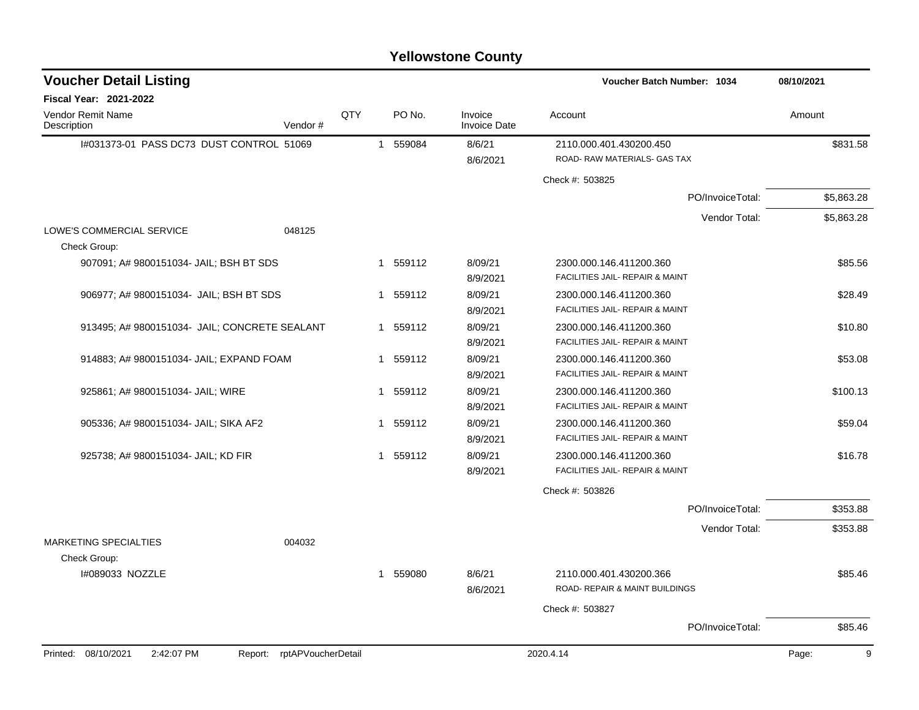|                                               |                            |     |                        | <b>Yellowstone County</b>      |                                            |            |
|-----------------------------------------------|----------------------------|-----|------------------------|--------------------------------|--------------------------------------------|------------|
| <b>Voucher Detail Listing</b>                 |                            |     |                        |                                | Voucher Batch Number: 1034                 | 08/10/2021 |
| <b>Fiscal Year: 2021-2022</b>                 |                            |     |                        |                                |                                            |            |
| Vendor Remit Name<br>Description              | Vendor#                    | QTY | PO No.                 | Invoice<br><b>Invoice Date</b> | Account                                    | Amount     |
| I#031373-01 PASS DC73 DUST CONTROL 51069      |                            |     | 559084<br>$\mathbf{1}$ | 8/6/21                         | 2110.000.401.430200.450                    | \$831.58   |
|                                               |                            |     |                        | 8/6/2021                       | ROAD-RAW MATERIALS- GAS TAX                |            |
|                                               |                            |     |                        |                                | Check #: 503825                            |            |
|                                               |                            |     |                        |                                | PO/InvoiceTotal:                           | \$5,863.28 |
|                                               |                            |     |                        |                                | Vendor Total:                              | \$5,863.28 |
| LOWE'S COMMERCIAL SERVICE                     | 048125                     |     |                        |                                |                                            |            |
| Check Group:                                  |                            |     |                        |                                |                                            |            |
| 907091; A# 9800151034- JAIL; BSH BT SDS       |                            |     | 559112<br>1            | 8/09/21                        | 2300.000.146.411200.360                    | \$85.56    |
|                                               |                            |     |                        | 8/9/2021                       | FACILITIES JAIL- REPAIR & MAINT            |            |
| 906977; A# 9800151034- JAIL; BSH BT SDS       |                            |     | 559112<br>1            | 8/09/21                        | 2300.000.146.411200.360                    | \$28.49    |
|                                               |                            |     |                        | 8/9/2021                       | FACILITIES JAIL- REPAIR & MAINT            |            |
| 913495; A# 9800151034- JAIL; CONCRETE SEALANT |                            |     | 1 559112               | 8/09/21                        | 2300.000.146.411200.360                    | \$10.80    |
|                                               |                            |     |                        | 8/9/2021                       | <b>FACILITIES JAIL- REPAIR &amp; MAINT</b> |            |
| 914883; A# 9800151034- JAIL; EXPAND FOAM      |                            |     | 559112<br>1            | 8/09/21                        | 2300.000.146.411200.360                    | \$53.08    |
|                                               |                            |     |                        | 8/9/2021                       | FACILITIES JAIL- REPAIR & MAINT            |            |
| 925861; A# 9800151034- JAIL; WIRE             |                            |     | 1 559112               | 8/09/21                        | 2300.000.146.411200.360                    | \$100.13   |
|                                               |                            |     |                        | 8/9/2021                       | FACILITIES JAIL- REPAIR & MAINT            |            |
| 905336; A# 9800151034- JAIL; SIKA AF2         |                            |     | 559112<br>1            | 8/09/21                        | 2300.000.146.411200.360                    | \$59.04    |
|                                               |                            |     |                        | 8/9/2021                       | FACILITIES JAIL- REPAIR & MAINT            |            |
| 925738; A# 9800151034- JAIL; KD FIR           |                            |     | 1 559112               | 8/09/21                        | 2300.000.146.411200.360                    | \$16.78    |
|                                               |                            |     |                        | 8/9/2021                       | FACILITIES JAIL- REPAIR & MAINT            |            |
|                                               |                            |     |                        |                                | Check #: 503826                            |            |
|                                               |                            |     |                        |                                | PO/InvoiceTotal:                           | \$353.88   |
|                                               |                            |     |                        |                                | Vendor Total:                              | \$353.88   |
| <b>MARKETING SPECIALTIES</b>                  | 004032                     |     |                        |                                |                                            |            |
| Check Group:                                  |                            |     |                        |                                |                                            |            |
| I#089033 NOZZLE                               |                            |     | 1 559080               | 8/6/21                         | 2110.000.401.430200.366                    | \$85.46    |
|                                               |                            |     |                        | 8/6/2021                       | <b>ROAD- REPAIR &amp; MAINT BUILDINGS</b>  |            |
|                                               |                            |     |                        |                                | Check #: 503827                            |            |
|                                               |                            |     |                        |                                | PO/InvoiceTotal:                           | \$85.46    |
| Printed: 08/10/2021<br>2:42:07 PM             | Report: rptAPVoucherDetail |     |                        |                                | 2020.4.14                                  | Page:<br>9 |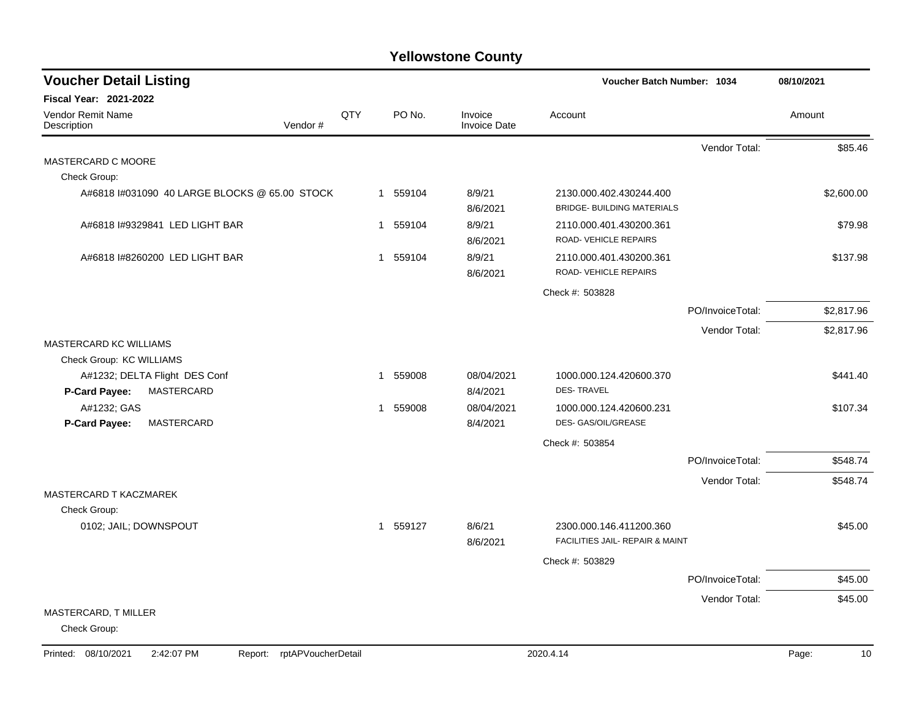| <b>Voucher Detail Listing</b>                 | Voucher Batch Number: 1034 |          |                                |                                                              | 08/10/2021       |            |
|-----------------------------------------------|----------------------------|----------|--------------------------------|--------------------------------------------------------------|------------------|------------|
| <b>Fiscal Year: 2021-2022</b>                 |                            |          |                                |                                                              |                  |            |
| Vendor Remit Name<br>Vendor#<br>Description   | QTY                        | PO No.   | Invoice<br><b>Invoice Date</b> | Account                                                      |                  | Amount     |
|                                               |                            |          |                                |                                                              | Vendor Total:    | \$85.46    |
| MASTERCARD C MOORE                            |                            |          |                                |                                                              |                  |            |
| Check Group:                                  |                            |          |                                |                                                              |                  |            |
| A#6818 I#031090 40 LARGE BLOCKS @ 65.00 STOCK |                            | 1 559104 | 8/9/21<br>8/6/2021             | 2130.000.402.430244.400<br><b>BRIDGE- BUILDING MATERIALS</b> |                  | \$2,600.00 |
| A#6818 I#9329841 LED LIGHT BAR                | $\overline{1}$             | 559104   | 8/9/21<br>8/6/2021             | 2110.000.401.430200.361<br>ROAD- VEHICLE REPAIRS             |                  | \$79.98    |
| A#6818 I#8260200 LED LIGHT BAR                | $\mathbf{1}$               | 559104   | 8/9/21<br>8/6/2021             | 2110.000.401.430200.361<br>ROAD-VEHICLE REPAIRS              |                  | \$137.98   |
|                                               |                            |          |                                | Check #: 503828                                              |                  |            |
|                                               |                            |          |                                |                                                              | PO/InvoiceTotal: | \$2,817.96 |
|                                               |                            |          |                                |                                                              | Vendor Total:    | \$2,817.96 |
| MASTERCARD KC WILLIAMS                        |                            |          |                                |                                                              |                  |            |
| Check Group: KC WILLIAMS                      |                            |          |                                |                                                              |                  |            |
| A#1232; DELTA Flight DES Conf                 | $\mathbf 1$                | 559008   | 08/04/2021                     | 1000.000.124.420600.370                                      |                  | \$441.40   |
| P-Card Payee:<br>MASTERCARD                   |                            |          | 8/4/2021                       | <b>DES-TRAVEL</b>                                            |                  |            |
| A#1232; GAS<br>P-Card Payee:<br>MASTERCARD    |                            | 1 559008 | 08/04/2021<br>8/4/2021         | 1000.000.124.420600.231<br>DES- GAS/OIL/GREASE               |                  | \$107.34   |
|                                               |                            |          |                                | Check #: 503854                                              |                  |            |
|                                               |                            |          |                                |                                                              | PO/InvoiceTotal: | \$548.74   |
|                                               |                            |          |                                |                                                              | Vendor Total:    | \$548.74   |
| MASTERCARD T KACZMAREK                        |                            |          |                                |                                                              |                  |            |
| Check Group:                                  |                            |          |                                |                                                              |                  |            |
| 0102; JAIL; DOWNSPOUT                         |                            | 1 559127 | 8/6/21<br>8/6/2021             | 2300.000.146.411200.360<br>FACILITIES JAIL- REPAIR & MAINT   |                  | \$45.00    |
|                                               |                            |          |                                | Check #: 503829                                              |                  |            |
|                                               |                            |          |                                |                                                              | PO/InvoiceTotal: | \$45.00    |
|                                               |                            |          |                                |                                                              | Vendor Total:    | \$45.00    |
| MASTERCARD, T MILLER<br>Check Group:          |                            |          |                                |                                                              |                  |            |

Printed: 08/10/2021 2:42:07 PM Report: rptAPVoucherDetail 2020.4.14 2020.4.14 2020.4.14 Page: 10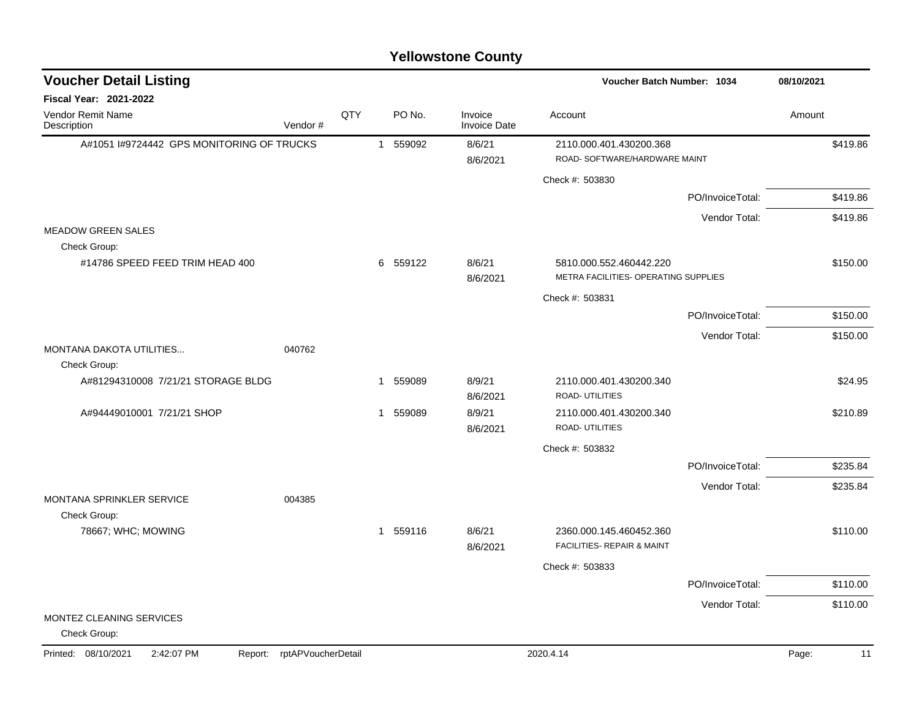#### A#1051 I#9724442 GPS MONITORING OF TRUCKS 1 559092 8/6/21 2110.000.401.430200.368 5419.86 8/6/2021 ROAD- SOFTWARE/HARDWARE MAINT Check #: 503830 PO/InvoiceTotal: \$419.86 Vendor Total: \$419.86 MEADOW GREEN SALES Check Group: #14786 SPEED FEED TRIM HEAD 400 6 559122 8/6/21 5810.000.552.460442.220 \$150.00 8/6/2021 METRA FACILITIES- OPERATING SUPPLIES Check #: 503831 PO/InvoiceTotal: \$150.00 Vendor Total: \$150.00 MONTANA DAKOTA UTILITIES... 040762 Check Group: A#81294310008 7/21/21 STORAGE BLDG 1 559089 8/9/21 2110.000.401.430200.340 8/6/2021 ROAD- UTILITIES A#94449010001 7/21/21 SHOP 1 559089 1 559089 8/9/21 2110.000.401.430200.340 8/6/2021 ROAD- UTILITIES Check #: 503832 PO/InvoiceTotal: \$235.84 Vendor Total: \$235.84 MONTANA SPRINKLER SERVICE 004385 Check Group: 78667; WHC; MOWING 1 559116 8/6/21 2360.000.145.460452.360 \$110.00 8/6/2021 FACILITIES- REPAIR & MAINT Check #: 503833 PO/InvoiceTotal: \$110.00 Vendor Total: \$110.00 MONTEZ CLEANING SERVICES Check Group: **Voucher Batch Number: Yellowstone County** Vendor Remit Name **Description Voucher Detail Listing Fiscal Year: 2021-2022 1034 08/10/2021** PO No. Invoice Account Amount Amount Amount Amount Vendor # **QTY** Invoice Date Printed: 08/10/2021 2:42:07 PM Report: rptAPVoucherDetail 2020.4.14 2020.4.14 Page: 11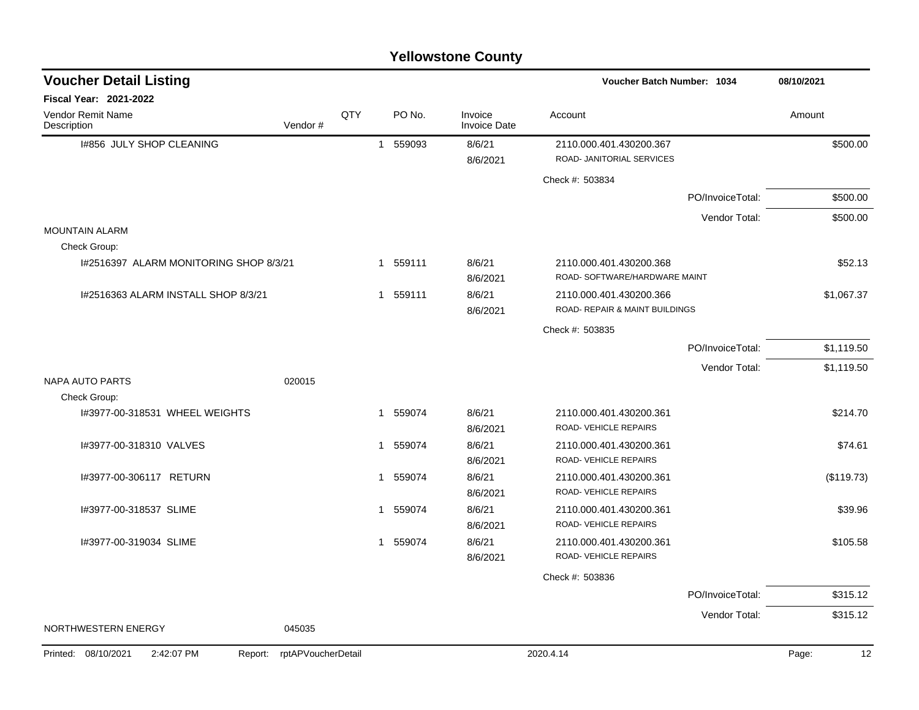|                                              |                    |     |             | <b>Yellowstone County</b>      |                                                                      |                  |             |
|----------------------------------------------|--------------------|-----|-------------|--------------------------------|----------------------------------------------------------------------|------------------|-------------|
| <b>Voucher Detail Listing</b>                |                    |     |             |                                | <b>Voucher Batch Number: 1034</b>                                    |                  | 08/10/2021  |
| Fiscal Year: 2021-2022                       |                    |     |             |                                |                                                                      |                  |             |
| <b>Vendor Remit Name</b><br>Description      | Vendor#            | QTY | PO No.      | Invoice<br><b>Invoice Date</b> | Account                                                              |                  | Amount      |
| I#856 JULY SHOP CLEANING                     |                    |     | 559093<br>1 | 8/6/21<br>8/6/2021             | 2110.000.401.430200.367<br>ROAD- JANITORIAL SERVICES                 |                  | \$500.00    |
|                                              |                    |     |             |                                | Check #: 503834                                                      |                  |             |
|                                              |                    |     |             |                                |                                                                      | PO/InvoiceTotal: | \$500.00    |
|                                              |                    |     |             |                                |                                                                      | Vendor Total:    | \$500.00    |
| <b>MOUNTAIN ALARM</b><br>Check Group:        |                    |     |             |                                |                                                                      |                  |             |
| I#2516397 ALARM MONITORING SHOP 8/3/21       |                    |     | 1 559111    | 8/6/21<br>8/6/2021             | 2110.000.401.430200.368<br>ROAD- SOFTWARE/HARDWARE MAINT             |                  | \$52.13     |
| I#2516363 ALARM INSTALL SHOP 8/3/21          |                    |     | 1 559111    | 8/6/21<br>8/6/2021             | 2110.000.401.430200.366<br><b>ROAD- REPAIR &amp; MAINT BUILDINGS</b> |                  | \$1,067.37  |
|                                              |                    |     |             |                                | Check #: 503835                                                      |                  |             |
|                                              |                    |     |             |                                |                                                                      | PO/InvoiceTotal: | \$1,119.50  |
|                                              |                    |     |             |                                |                                                                      | Vendor Total:    | \$1,119.50  |
| <b>NAPA AUTO PARTS</b><br>Check Group:       | 020015             |     |             |                                |                                                                      |                  |             |
| I#3977-00-318531 WHEEL WEIGHTS               |                    |     | 1 559074    | 8/6/21<br>8/6/2021             | 2110.000.401.430200.361<br>ROAD-VEHICLE REPAIRS                      |                  | \$214.70    |
| I#3977-00-318310 VALVES                      |                    |     | 1 559074    | 8/6/21<br>8/6/2021             | 2110.000.401.430200.361<br>ROAD-VEHICLE REPAIRS                      |                  | \$74.61     |
| I#3977-00-306117 RETURN                      |                    |     | 1 559074    | 8/6/21<br>8/6/2021             | 2110.000.401.430200.361<br>ROAD-VEHICLE REPAIRS                      |                  | (\$119.73)  |
| I#3977-00-318537 SLIME                       |                    |     | 1 559074    | 8/6/21<br>8/6/2021             | 2110.000.401.430200.361<br>ROAD-VEHICLE REPAIRS                      |                  | \$39.96     |
| I#3977-00-319034 SLIME                       |                    |     | 1 559074    | 8/6/21<br>8/6/2021             | 2110.000.401.430200.361<br>ROAD-VEHICLE REPAIRS                      |                  | \$105.58    |
|                                              |                    |     |             |                                | Check #: 503836                                                      |                  |             |
|                                              |                    |     |             |                                |                                                                      | PO/InvoiceTotal: | \$315.12    |
|                                              |                    |     |             |                                |                                                                      | Vendor Total:    | \$315.12    |
| NORTHWESTERN ENERGY                          | 045035             |     |             |                                |                                                                      |                  |             |
| Printed: 08/10/2021<br>2:42:07 PM<br>Report: | rptAPVoucherDetail |     |             |                                | 2020.4.14                                                            |                  | Page:<br>12 |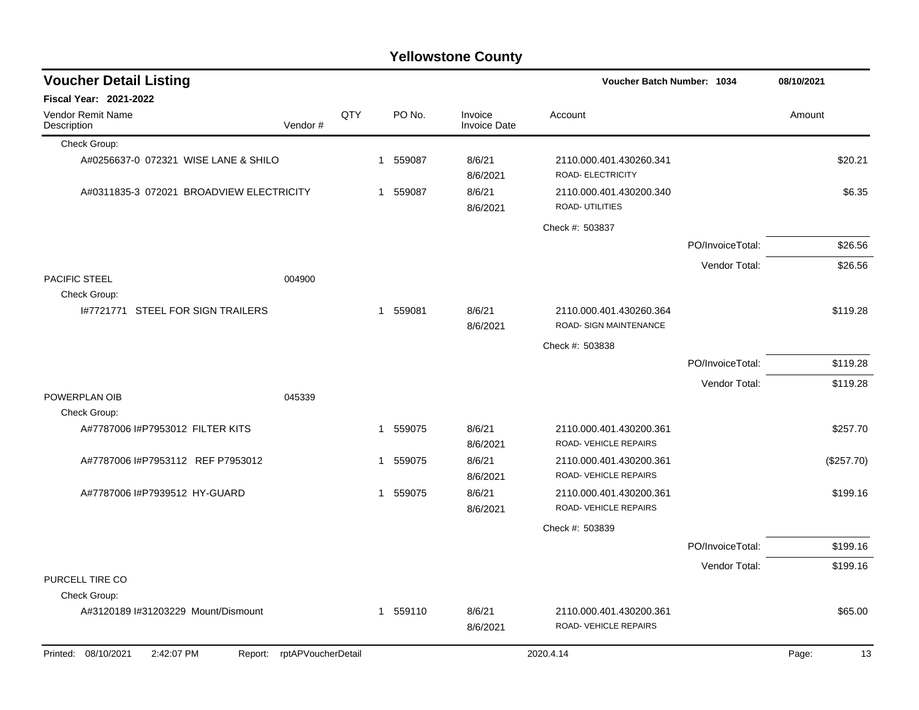|                                          |         |     |   |        | <b>Yellowstone County</b> |                                                   |                  |            |            |
|------------------------------------------|---------|-----|---|--------|---------------------------|---------------------------------------------------|------------------|------------|------------|
| <b>Voucher Detail Listing</b>            |         |     |   |        |                           | Voucher Batch Number: 1034                        |                  | 08/10/2021 |            |
| <b>Fiscal Year: 2021-2022</b>            |         |     |   |        |                           |                                                   |                  |            |            |
| Vendor Remit Name<br>Description         | Vendor# | QTY |   | PO No. | Invoice<br>Invoice Date   | Account                                           |                  | Amount     |            |
| Check Group:                             |         |     |   |        |                           |                                                   |                  |            |            |
| A#0256637-0 072321 WISE LANE & SHILO     |         |     | 1 | 559087 | 8/6/21<br>8/6/2021        | 2110.000.401.430260.341<br>ROAD- ELECTRICITY      |                  |            | \$20.21    |
| A#0311835-3 072021 BROADVIEW ELECTRICITY |         |     | 1 | 559087 | 8/6/21<br>8/6/2021        | 2110.000.401.430200.340<br>ROAD- UTILITIES        |                  |            | \$6.35     |
|                                          |         |     |   |        |                           | Check #: 503837                                   |                  |            |            |
|                                          |         |     |   |        |                           |                                                   | PO/InvoiceTotal: |            | \$26.56    |
|                                          |         |     |   |        |                           |                                                   | Vendor Total:    |            | \$26.56    |
| PACIFIC STEEL<br>Check Group:            | 004900  |     |   |        |                           |                                                   |                  |            |            |
| 1#7721771 STEEL FOR SIGN TRAILERS        |         |     | 1 | 559081 | 8/6/21<br>8/6/2021        | 2110.000.401.430260.364<br>ROAD- SIGN MAINTENANCE |                  |            | \$119.28   |
|                                          |         |     |   |        |                           | Check #: 503838                                   |                  |            |            |
|                                          |         |     |   |        |                           |                                                   | PO/InvoiceTotal: |            | \$119.28   |
|                                          |         |     |   |        |                           |                                                   | Vendor Total:    |            | \$119.28   |
| POWERPLAN OIB<br>Check Group:            | 045339  |     |   |        |                           |                                                   |                  |            |            |
| A#7787006 I#P7953012 FILTER KITS         |         |     | 1 | 559075 | 8/6/21<br>8/6/2021        | 2110.000.401.430200.361<br>ROAD- VEHICLE REPAIRS  |                  |            | \$257.70   |
| A#7787006 I#P7953112 REF P7953012        |         |     | 1 | 559075 | 8/6/21<br>8/6/2021        | 2110.000.401.430200.361<br>ROAD-VEHICLE REPAIRS   |                  |            | (\$257.70) |
| A#7787006 I#P7939512 HY-GUARD            |         |     | 1 | 559075 | 8/6/21<br>8/6/2021        | 2110.000.401.430200.361<br>ROAD-VEHICLE REPAIRS   |                  |            | \$199.16   |
|                                          |         |     |   |        |                           | Check #: 503839                                   |                  |            |            |
|                                          |         |     |   |        |                           |                                                   | PO/InvoiceTotal: |            | \$199.16   |
|                                          |         |     |   |        |                           |                                                   | Vendor Total:    |            | \$199.16   |

#### PURCELL TIRE CO

|          | Check Group: |                                    |         |                    |           |                    |                                                 |       |         |  |
|----------|--------------|------------------------------------|---------|--------------------|-----------|--------------------|-------------------------------------------------|-------|---------|--|
|          |              | A#3120189 #31203229 Mount/Dismount |         |                    | 559110    | 8/6/21<br>8/6/2021 | 2110.000.401.430200.361<br>ROAD-VEHICLE REPAIRS |       | \$65.00 |  |
| Printed: | 08/10/2021   | 2:42:07 PM                         | Report: | rptAPVoucherDetail | 2020.4.14 |                    |                                                 | Page: | 13      |  |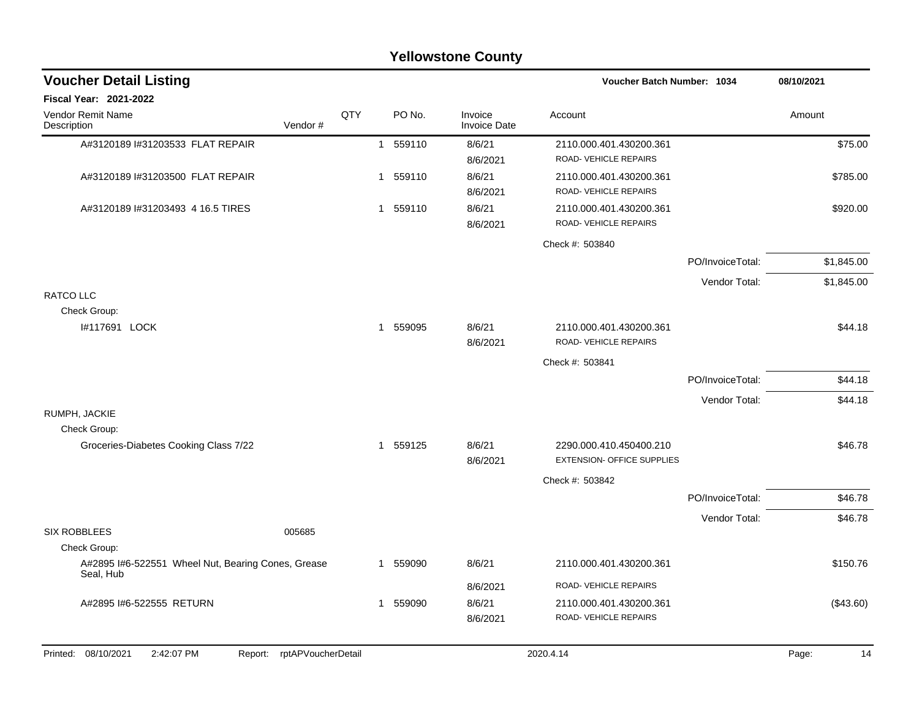|                                                                    |     |                        | <b>Yellowstone County</b>      |                                                              |                  |             |
|--------------------------------------------------------------------|-----|------------------------|--------------------------------|--------------------------------------------------------------|------------------|-------------|
| <b>Voucher Detail Listing</b>                                      |     |                        |                                | Voucher Batch Number: 1034                                   |                  | 08/10/2021  |
| Fiscal Year: 2021-2022                                             |     |                        |                                |                                                              |                  |             |
| Vendor Remit Name<br>Vendor#<br>Description                        | QTY | PO No.                 | Invoice<br><b>Invoice Date</b> | Account                                                      |                  | Amount      |
| A#3120189 I#31203533 FLAT REPAIR                                   |     | 1 559110               | 8/6/21<br>8/6/2021             | 2110.000.401.430200.361<br>ROAD-VEHICLE REPAIRS              |                  | \$75.00     |
| A#3120189 I#31203500 FLAT REPAIR                                   |     | 559110<br>1            | 8/6/21<br>8/6/2021             | 2110.000.401.430200.361<br>ROAD-VEHICLE REPAIRS              |                  | \$785.00    |
| A#3120189 #31203493 4 16.5 TIRES                                   |     | 1 559110               | 8/6/21<br>8/6/2021             | 2110.000.401.430200.361<br>ROAD-VEHICLE REPAIRS              |                  | \$920.00    |
|                                                                    |     |                        |                                | Check #: 503840                                              |                  |             |
|                                                                    |     |                        |                                |                                                              | PO/InvoiceTotal: | \$1,845.00  |
|                                                                    |     |                        |                                |                                                              | Vendor Total:    | \$1,845.00  |
| <b>RATCO LLC</b>                                                   |     |                        |                                |                                                              |                  |             |
| Check Group:                                                       |     | 559095                 |                                | 2110.000.401.430200.361                                      |                  |             |
| I#117691 LOCK                                                      |     | $\mathbf{1}$           | 8/6/21<br>8/6/2021             | ROAD-VEHICLE REPAIRS                                         |                  | \$44.18     |
|                                                                    |     |                        |                                | Check #: 503841                                              |                  |             |
|                                                                    |     |                        |                                |                                                              | PO/InvoiceTotal: | \$44.18     |
|                                                                    |     |                        |                                |                                                              | Vendor Total:    | \$44.18     |
| RUMPH, JACKIE                                                      |     |                        |                                |                                                              |                  |             |
| Check Group:<br>Groceries-Diabetes Cooking Class 7/22              |     | 1 559125               | 8/6/21<br>8/6/2021             | 2290.000.410.450400.210<br><b>EXTENSION- OFFICE SUPPLIES</b> |                  | \$46.78     |
|                                                                    |     |                        |                                | Check #: 503842                                              |                  |             |
|                                                                    |     |                        |                                |                                                              | PO/InvoiceTotal: | \$46.78     |
|                                                                    |     |                        |                                |                                                              | Vendor Total:    | \$46.78     |
| <b>SIX ROBBLEES</b><br>005685                                      |     |                        |                                |                                                              |                  |             |
| Check Group:                                                       |     |                        |                                |                                                              |                  |             |
| A#2895 I#6-522551 Wheel Nut, Bearing Cones, Grease<br>Seal, Hub    |     | 559090<br>$\mathbf{1}$ | 8/6/21                         | 2110.000.401.430200.361                                      |                  | \$150.76    |
|                                                                    |     |                        | 8/6/2021                       | ROAD-VEHICLE REPAIRS                                         |                  |             |
| A#2895 I#6-522555 RETURN                                           |     | 1 559090               | 8/6/21<br>8/6/2021             | 2110.000.401.430200.361<br>ROAD-VEHICLE REPAIRS              |                  | (\$43.60)   |
| Printed: 08/10/2021<br>2:42:07 PM<br>rptAPVoucherDetail<br>Report: |     |                        |                                | 2020.4.14                                                    |                  | Page:<br>14 |
|                                                                    |     |                        |                                |                                                              |                  |             |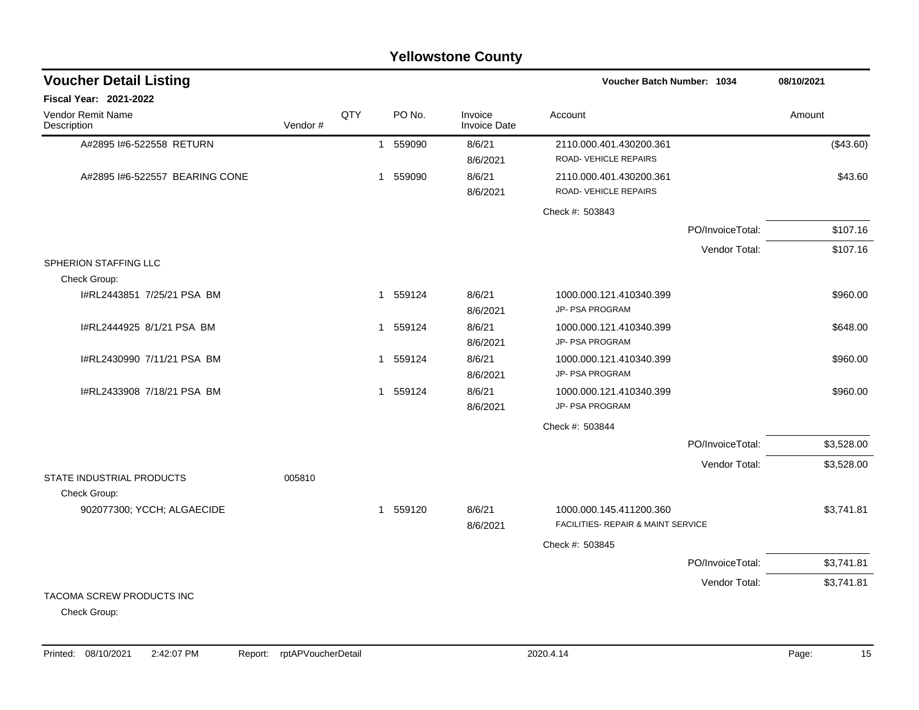| <b>Yellowstone County</b>                 |         |     |              |          |                                |                                                               |                  |            |
|-------------------------------------------|---------|-----|--------------|----------|--------------------------------|---------------------------------------------------------------|------------------|------------|
| <b>Voucher Detail Listing</b>             |         |     |              |          |                                | Voucher Batch Number: 1034                                    |                  | 08/10/2021 |
| <b>Fiscal Year: 2021-2022</b>             |         |     |              |          |                                |                                                               |                  |            |
| <b>Vendor Remit Name</b><br>Description   | Vendor# | QTY |              | PO No.   | Invoice<br><b>Invoice Date</b> | Account                                                       |                  | Amount     |
| A#2895 I#6-522558 RETURN                  |         |     |              | 1 559090 | 8/6/21<br>8/6/2021             | 2110.000.401.430200.361<br>ROAD- VEHICLE REPAIRS              |                  | (\$43.60)  |
| A#2895 I#6-522557 BEARING CONE            |         |     | $\mathbf{1}$ | 559090   | 8/6/21<br>8/6/2021             | 2110.000.401.430200.361<br>ROAD- VEHICLE REPAIRS              |                  | \$43.60    |
|                                           |         |     |              |          |                                | Check #: 503843                                               |                  |            |
|                                           |         |     |              |          |                                |                                                               | PO/InvoiceTotal: | \$107.16   |
|                                           |         |     |              |          |                                |                                                               | Vendor Total:    | \$107.16   |
| SPHERION STAFFING LLC<br>Check Group:     |         |     |              |          |                                |                                                               |                  |            |
| I#RL2443851 7/25/21 PSA BM                |         |     |              | 1 559124 | 8/6/21<br>8/6/2021             | 1000.000.121.410340.399<br>JP- PSA PROGRAM                    |                  | \$960.00   |
| I#RL2444925 8/1/21 PSA BM                 |         |     |              | 1 559124 | 8/6/21<br>8/6/2021             | 1000.000.121.410340.399<br>JP- PSA PROGRAM                    |                  | \$648.00   |
| I#RL2430990 7/11/21 PSA BM                |         |     |              | 1 559124 | 8/6/21<br>8/6/2021             | 1000.000.121.410340.399<br>JP- PSA PROGRAM                    |                  | \$960.00   |
| I#RL2433908 7/18/21 PSA BM                |         |     | $\mathbf{1}$ | 559124   | 8/6/21<br>8/6/2021             | 1000.000.121.410340.399<br><b>JP- PSA PROGRAM</b>             |                  | \$960.00   |
|                                           |         |     |              |          |                                | Check #: 503844                                               |                  |            |
|                                           |         |     |              |          |                                |                                                               | PO/InvoiceTotal: | \$3,528.00 |
| STATE INDUSTRIAL PRODUCTS                 | 005810  |     |              |          |                                |                                                               | Vendor Total:    | \$3,528.00 |
| Check Group:                              |         |     |              |          |                                |                                                               |                  |            |
| 902077300; YCCH; ALGAECIDE                |         |     |              | 1 559120 | 8/6/21<br>8/6/2021             | 1000.000.145.411200.360<br>FACILITIES- REPAIR & MAINT SERVICE |                  | \$3,741.81 |
|                                           |         |     |              |          |                                | Check #: 503845                                               |                  |            |
|                                           |         |     |              |          |                                |                                                               | PO/InvoiceTotal: | \$3,741.81 |
|                                           |         |     |              |          |                                |                                                               | Vendor Total:    | \$3,741.81 |
| TACOMA SCREW PRODUCTS INC<br>Check Group: |         |     |              |          |                                |                                                               |                  |            |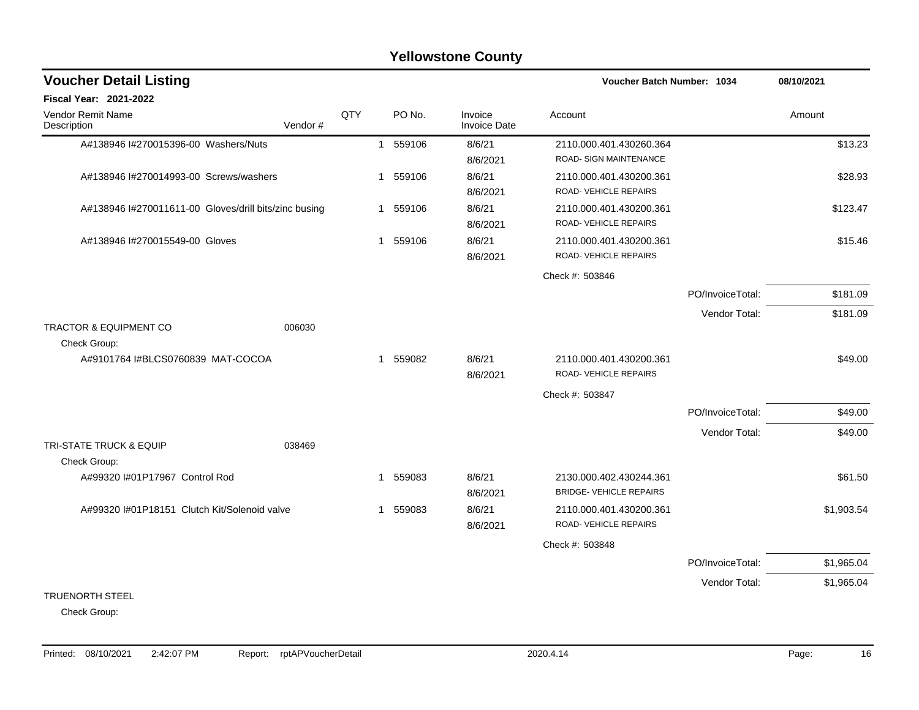#### A#138946 l#270015396-00 Washers/Nuts 1 559106 8/6/21 2110.000.401.430260.364 \$13.23 8/6/2021 ROAD- SIGN MAINTENANCE A#138946 l#270014993-00 Screws/washers 1 559106 8/6/21 2110.000.401.430200.361 \$28.93 8/6/2021 ROAD- VEHICLE REPAIRS A#138946 l#270011611-00 Gloves/drill bits/zinc busing 1 559106 8/6/21 2110.000.401.430200.361 \$123.47 8/6/2021 ROAD- VEHICLE REPAIRS A#138946 l#270015549-00 Gloves 6.15.46 8/6/2021 ROAD- VEHICLE REPAIRS Check #: 503846 PO/InvoiceTotal: \$181.09 Vendor Total: \$181.09 TRACTOR & EQUIPMENT CO 006030 Check Group: A#9101764 I#BLCS0760839 MAT-COCOA 1 559082 8/6/21 2110.000.401.430200.361 \$49.00 8/6/2021 ROAD- VEHICLE REPAIRS Check #: 503847 PO/InvoiceTotal: \$49.00 Vendor Total: \$49.00 TRI-STATE TRUCK & EQUIP 038469 Check Group: A#99320 I#01P17967 Control Rod 1 559083 8/6/21 2130.000.402.430244.361 361.50 8/6/2021 BRIDGE- VEHICLE REPAIRS A#99320 I#01P18151 Clutch Kit/Solenoid valve 1 559083 8/6/21 2110.000.401.430200.361 \$1,903.54 8/6/2021 ROAD- VEHICLE REPAIRS Check #: 503848 PO/InvoiceTotal: \$1,965.04 Vendor Total: \$1,965.04 TRUENORTH STEEL **Voucher Batch Number: Yellowstone County** Vendor Remit Name **Description Voucher Detail Listing Fiscal Year: 2021-2022 1034 08/10/2021** PO No. Invoice Account Amount Amount Amount Amount Vendor # **QTY** Invoice Date

Check Group: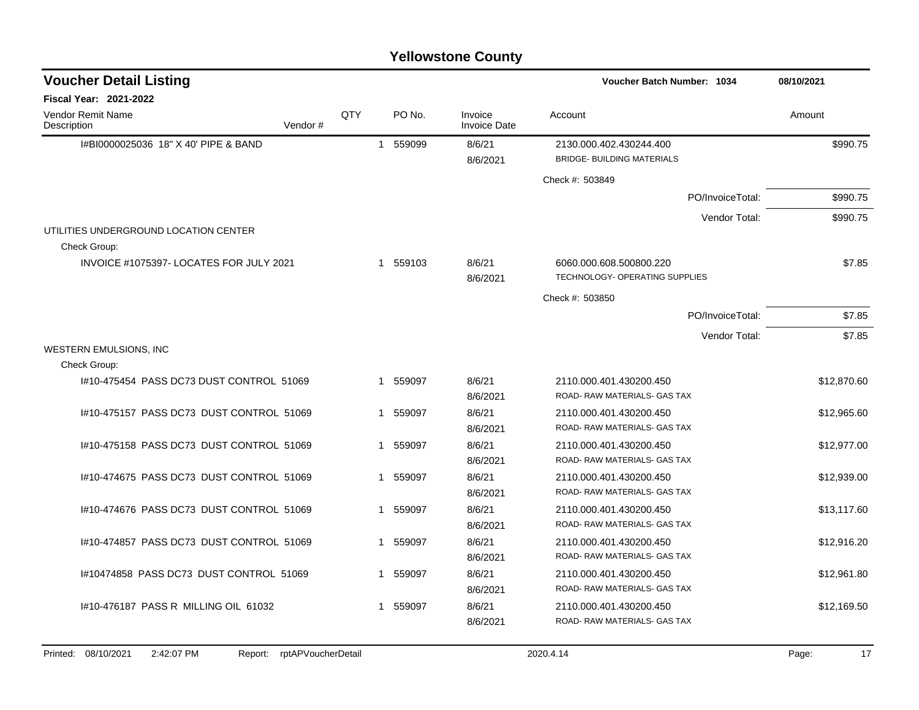| <b>Voucher Detail Listing</b>                         |     |                        |                                | <b>Voucher Batch Number: 1034</b>                            | 08/10/2021  |
|-------------------------------------------------------|-----|------------------------|--------------------------------|--------------------------------------------------------------|-------------|
| Fiscal Year: 2021-2022                                |     |                        |                                |                                                              |             |
| <b>Vendor Remit Name</b><br>Description<br>Vendor#    | QTY | PO No.                 | Invoice<br><b>Invoice Date</b> | Account                                                      | Amount      |
| I#BI0000025036 18" X 40' PIPE & BAND                  |     | 559099<br>$\mathbf{1}$ | 8/6/21<br>8/6/2021             | 2130.000.402.430244.400<br><b>BRIDGE- BUILDING MATERIALS</b> | \$990.75    |
|                                                       |     |                        |                                | Check #: 503849                                              |             |
|                                                       |     |                        |                                | PO/InvoiceTotal:                                             | \$990.75    |
| UTILITIES UNDERGROUND LOCATION CENTER<br>Check Group: |     |                        |                                | Vendor Total:                                                | \$990.75    |
| INVOICE #1075397- LOCATES FOR JULY 2021               |     | 559103<br>$\mathbf{1}$ | 8/6/21<br>8/6/2021             | 6060.000.608.500800.220<br>TECHNOLOGY- OPERATING SUPPLIES    | \$7.85      |
|                                                       |     |                        |                                | Check #: 503850                                              |             |
|                                                       |     |                        |                                | PO/InvoiceTotal:                                             | \$7.85      |
|                                                       |     |                        |                                | Vendor Total:                                                | \$7.85      |
| WESTERN EMULSIONS, INC                                |     |                        |                                |                                                              |             |
| Check Group:                                          |     |                        |                                |                                                              |             |
| I#10-475454 PASS DC73 DUST CONTROL 51069              |     | 1 559097               | 8/6/21<br>8/6/2021             | 2110.000.401.430200.450<br>ROAD-RAW MATERIALS- GAS TAX       | \$12,870.60 |
| I#10-475157 PASS DC73 DUST CONTROL 51069              |     | 559097<br>$\mathbf{1}$ | 8/6/21<br>8/6/2021             | 2110.000.401.430200.450<br>ROAD- RAW MATERIALS- GAS TAX      | \$12,965.60 |
| #10-475158 PASS DC73 DUST CONTROL 51069               |     | 559097<br>$\mathbf{1}$ | 8/6/21<br>8/6/2021             | 2110.000.401.430200.450<br>ROAD-RAW MATERIALS- GAS TAX       | \$12,977.00 |
| 1#10-474675 PASS DC73 DUST CONTROL 51069              |     | 559097<br>1            | 8/6/21<br>8/6/2021             | 2110.000.401.430200.450<br>ROAD-RAW MATERIALS- GAS TAX       | \$12,939.00 |
| 1#10-474676 PASS DC73 DUST CONTROL 51069              |     | 559097<br>1            | 8/6/21<br>8/6/2021             | 2110.000.401.430200.450<br>ROAD- RAW MATERIALS- GAS TAX      | \$13,117.60 |
| 1#10-474857 PASS DC73 DUST CONTROL 51069              |     | 559097<br>$\mathbf{1}$ | 8/6/21<br>8/6/2021             | 2110.000.401.430200.450<br>ROAD-RAW MATERIALS- GAS TAX       | \$12,916.20 |
| 1#10474858 PASS DC73 DUST CONTROL 51069               |     | 1 559097               | 8/6/21<br>8/6/2021             | 2110.000.401.430200.450<br>ROAD-RAW MATERIALS- GAS TAX       | \$12,961.80 |
| #10-476187 PASS R MILLING OIL 61032                   |     | 1 559097               | 8/6/21<br>8/6/2021             | 2110.000.401.430200.450<br>ROAD-RAW MATERIALS- GAS TAX       | \$12,169.50 |